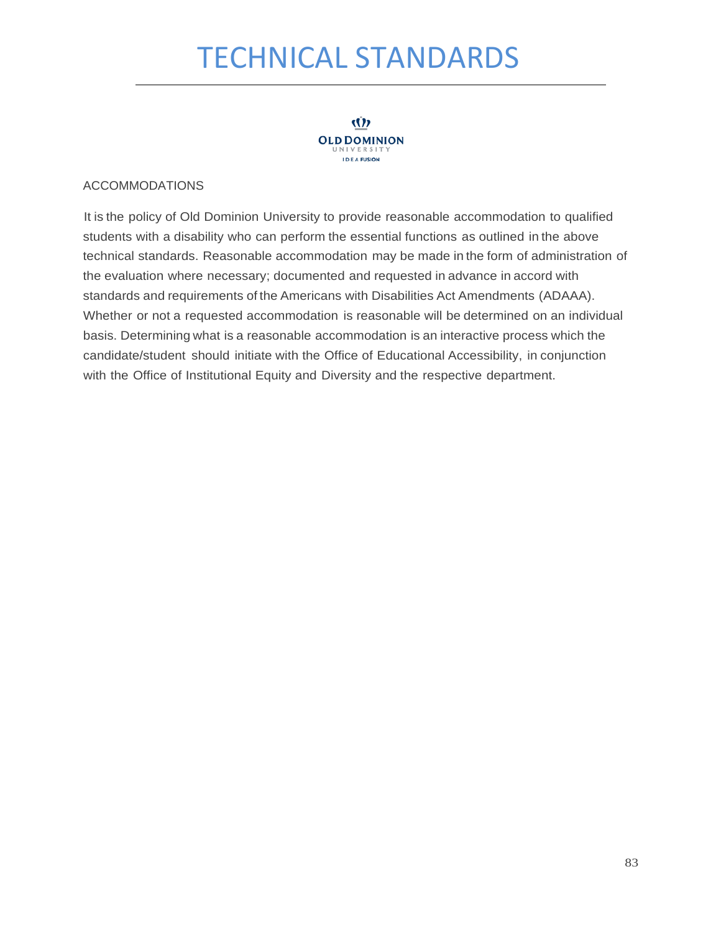# TECHNICAL STANDARDS



#### ACCOMMODATIONS

It is the policy of Old Dominion University to provide reasonable accommodation to qualified students with a disability who can perform the essential functions as outlined in the above technical standards. Reasonable accommodation may be made in the form of administration of the evaluation where necessary; documented and requested in advance in accord with standards and requirements of the Americans with Disabilities Act Amendments (ADAAA). Whether or not a requested accommodation is reasonable will be determined on an individual basis. Determining what is a reasonable accommodation is an interactive process which the candidate/student should initiate with the Office of Educational Accessibility, in conjunction with the Office of Institutional Equity and Diversity and the respective department.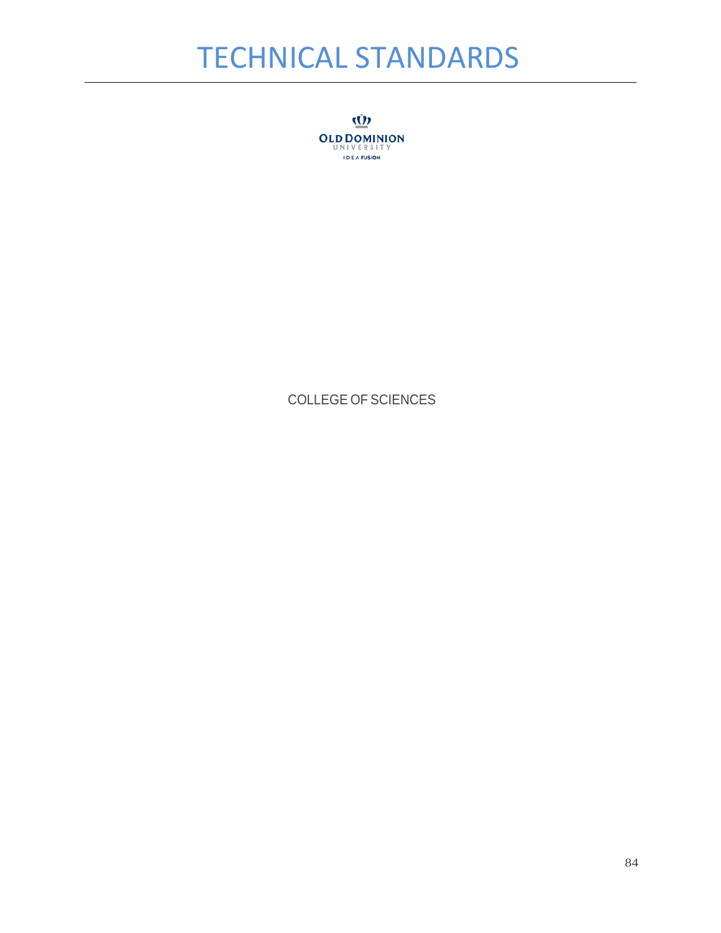## TECHNICAL STANDARDS

<u>(()</u> **OLD DOMINION IDEA FUSION** 

### COLLEGE OF SCIENCES